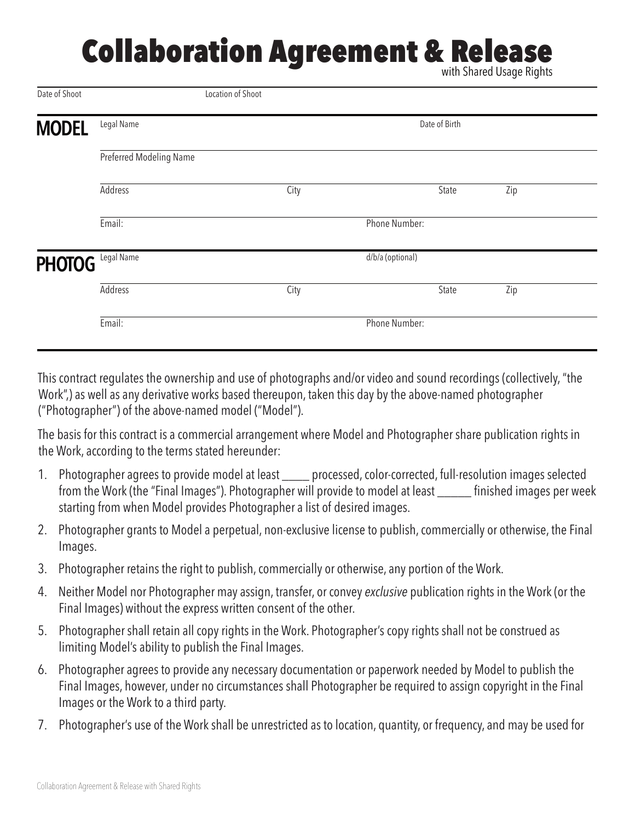## **Collaboration Agreement & Release**

with Shared Usage Rights

| Date of Shoot |                                | Location of Shoot |      |  |               |     |  |
|---------------|--------------------------------|-------------------|------|--|---------------|-----|--|
| <b>MODEL</b>  | Legal Name                     | Date of Birth     |      |  |               |     |  |
|               | Preferred Modeling Name        |                   |      |  |               |     |  |
|               | <b>Address</b>                 |                   | City |  | State         | Zip |  |
|               | Email:                         |                   |      |  | Phone Number: |     |  |
| <b>PHOTOG</b> | Legal Name<br>d/b/a (optional) |                   |      |  |               |     |  |
|               | <b>Address</b>                 |                   | City |  | State         | Zip |  |
|               | Email:                         |                   |      |  | Phone Number: |     |  |
|               |                                |                   |      |  |               |     |  |

This contract regulates the ownership and use of photographs and/or video and sound recordings (collectively, "the Work",) as well as any derivative works based thereupon, taken this day by the above-named photographer ("Photographer") of the above-named model ("Model").

The basis for this contract is a commercial arrangement where Model and Photographer share publication rights in the Work, according to the terms stated hereunder:

- 1. Photographer agrees to provide model at least \_\_\_\_ processed, color-corrected, full-resolution images selected from the Work (the "Final Images"). Photographer will provide to model at least \_\_\_\_\_ finished images per week starting from when Model provides Photographer a list of desired images.
- 2. Photographer grants to Model a perpetual, non-exclusive license to publish, commercially or otherwise, the Final Images.
- 3. Photographer retains the right to publish, commercially or otherwise, any portion of the Work.
- 4. Neither Model nor Photographer may assign, transfer, or convey *exclusive* publication rights in the Work (or the Final Images) without the express written consent of the other.
- 5. Photographer shall retain all copy rights in the Work. Photographer's copy rights shall not be construed as limiting Model's ability to publish the Final Images.
- 6. Photographer agrees to provide any necessary documentation or paperwork needed by Model to publish the Final Images, however, under no circumstances shall Photographer be required to assign copyright in the Final Images or the Work to a third party.
- 7. Photographer's use of the Work shall be unrestricted as to location, quantity, or frequency, and may be used for